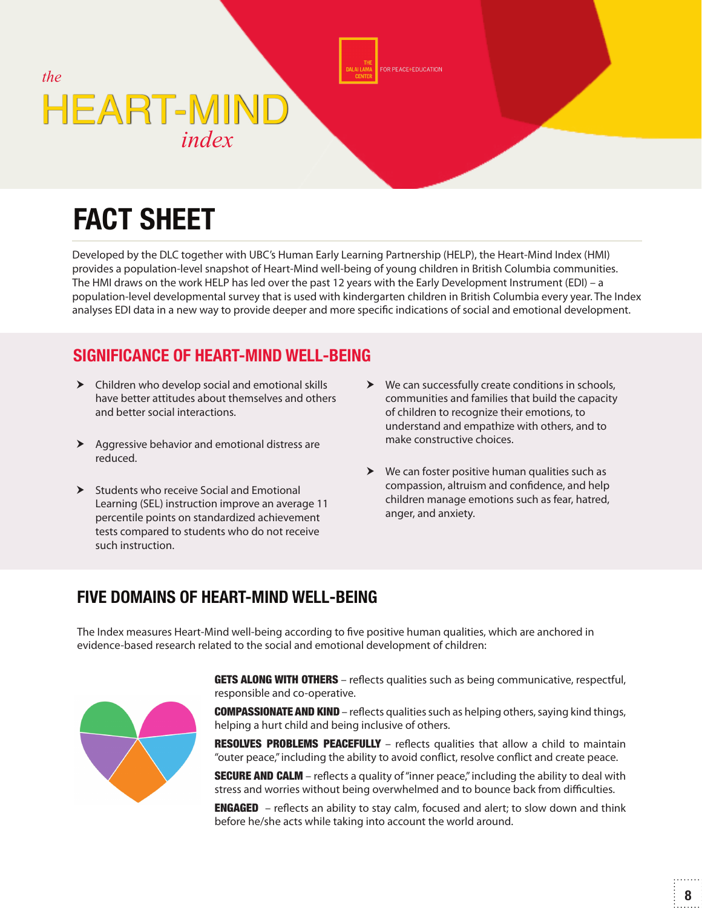

# **FACT SHEET**

Developed by the DLC together with UBC's Human Early Learning Partnership (HELP), the Heart-Mind Index (HMI) provides a population-level snapshot of Heart-Mind well-being of young children in British Columbia communities. The HMI draws on the work HELP has led over the past 12 years with the Early Development Instrument (EDI) – a population-level developmental survey that is used with kindergarten children in British Columbia every year. The Index analyses EDI data in a new way to provide deeper and more specific indications of social and emotional development.

ACE+EDUCATION

#### **SIGNIFICANCE OF HEART-MIND WELL-BEING**

- Children who develop social and emotional skills have better attitudes about themselves and others and better social interactions.
- $\blacktriangleright$  Aggressive behavior and emotional distress are reduced.
- $\triangleright$  Students who receive Social and Emotional Learning (SEL) instruction improve an average 11 percentile points on standardized achievement tests compared to students who do not receive such instruction.
- We can successfully create conditions in schools, communities and families that build the capacity of children to recognize their emotions, to understand and empathize with others, and to make constructive choices.
- $\triangleright$  We can foster positive human qualities such as compassion, altruism and confidence, and help children manage emotions such as fear, hatred, anger, and anxiety.

#### **FIVE DOMAINS OF HEART-MIND WELL-BEING**

The Index measures Heart-Mind well-being according to five positive human qualities, which are anchored in evidence-based research related to the social and emotional development of children:



**GETS ALONG WITH OTHERS** - reflects qualities such as being communicative, respectful, responsible and co-operative.

**COMPASSIONATE AND KIND** – reflects qualities such as helping others, saying kind things, helping a hurt child and being inclusive of others.

RESOLVES PROBLEMS PEACEFULLY - reflects qualities that allow a child to maintain "outer peace," including the ability to avoid conflict, resolve conflict and create peace.

**SECURE AND CALM** – reflects a quality of "inner peace," including the ability to deal with stress and worries without being overwhelmed and to bounce back from difficulties.

**ENGAGED** – reflects an ability to stay calm, focused and alert; to slow down and think before he/she acts while taking into account the world around.